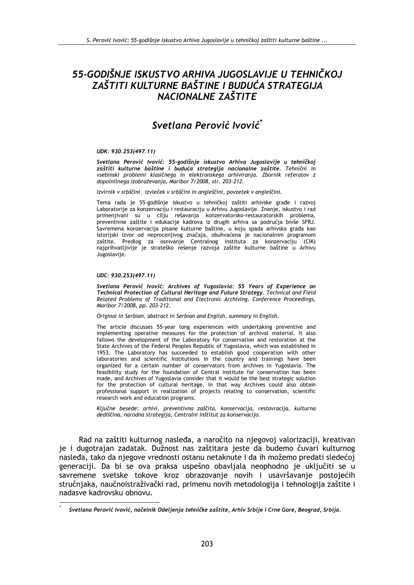# 55-GODIŠNJE ISKUSTVO ARHIVA JUGOSLAVIJE U TEHNIČKOJ ZAŠTITI KULTURNE BAŠTINE I BUDUĆA STRATEGIJA NACIONALNE ZAŠTITE

## Svetlana Perović Ivović<sup>\*</sup>

#### UDK: 930.253(497.11)

Svetlana Perović Ivović: 55-godišnje iskustvo Arhiva Jugoslavije u tehničkoj zaštiti kulturne baštine i buduća strategija nacionalne zaštite. Tehnični in vsebinski problemi klasičnega in elektronskega arhiviranja. Zbornik referatov z dopolnilnega izobraževanja, Maribor 7/2008, str. 203-212.

Izvirnik v srbščini, izvleček v srbščini in angleščini, povzetek v angleščini.

Tema rada je 55-godišnje iskustvo u tehničkoj zaštiti arhivske građe i razvoj Laboratorije za konzervaciju i restauraciju u Arhivu Jugoslavije. Znanje, iskustvo i rad primenjivani su u cilju rešavanja konzervatorsko-restauratorskih problema, preventivne zaštite i edukacije kadrova iz drugih arhiva sa područja bivše SFRJ. Savremena konzervacija pisane kulturne baštine, u koju spada arhivska građa kao istorijski izvor od neprocenjivog značaja, obuhvaćena je nacionalnim programom zaštite. Predlog za osnivanje Centralnog instituta za konzervaciju (CIK) najprihvatljivije je strateško rešenje razvoja zaštite kulturne baštine u Arhivu Jugoslavije.

#### UDC: 930.253(497.11)

Svetlana Perović Ivović: Archives of Yugoslavia: 55 Years of Experience on Technical Protection of Cultural Heritage and Future Strategy. Technical and Field Related Problems of Traditional and Electronic Archiving. Conference Proceedings, Maribor 7/2008, pp. 203-212.

Original in Serbian, abstract in Serbian and English, summary in English.

The article discusses 55-year long experiences with undertaking preventive and implementing operative measures for the protection of archival material. It also fallows the development of the Laboratory for conservation and restoration at the State Archives of the Federal Peoples Republic of Yugoslavia, which was established in 1953. The Laboratory has succeeded to establish good cooperation with other laboratories and scientific institutions in the country and trainings have been organized for a certain number of conservators from archives in Yugoslavia. The feasibility study for the foundation of Central institute for conservation has been made, and Archives of Yugoslavia consider that it would be the best strategic solution for the protection of cultural heritage. In that way Archives could also obtain professional support in realization of projects relating to conservation, scientific research work and education programs.

Ključne besede: arhivi, preventivna zaščita, konservacija, restavracija, kulturna dediščina, narodna strategija, Centralni inštitut za konservacijo.

Rad na zaštiti kulturnog nasleđa, a naročito na njegovoj valorizaciji, kreativan je i dugotrajan zadatak. Dužnost nas zaštitara jeste da budemo čuvari kulturnog nasleđa, tako da njegove vrednosti ostanu netaknute i da ih možemo predati sledećoj generaciji. Da bi se ova praksa uspešno obavljala neophodno je uključiti se u savremene svetske tokove kroz obrazovanie novih i usavršavanie postojećih stručniaka, naučnoistraživački rad, primenu novih metodologija i tehnologija zaštite i nadasve kadrovsku obnovu.

Svetlana Perović Ivović, načelnik Odeljenja tehničke zaštite, Arhiv Srbije i Crne Gore, Beograd, Srbija.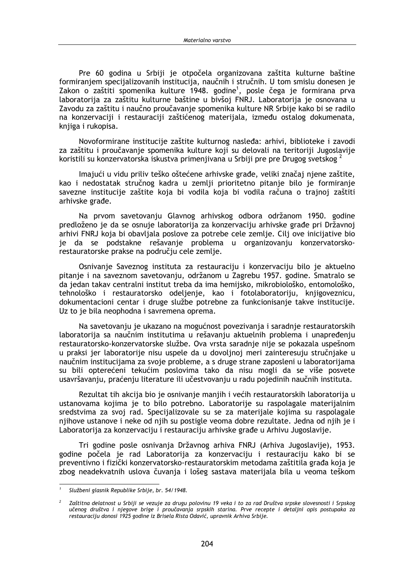Pre 60 godina u Srbiji je otpočela organizovana zaštita kulturne baštine formiraniem specijalizovanih institucija, naučnih i stručnih. U tom smislu donesen je Zakon o zaštiti spomenika kulture 1948. godine<sup>1</sup>, posle čega je formirana prva laboratorija za zaštitu kulturne baštine u bivšoj FNRJ. Laboratorija je osnovana u Zavodu za zaštitu i naučno proučavanje spomenika kulture NR Srbije kako bi se radilo na konzervaciji i restauraciji zaštićenog materijala, između ostalog dokumenata, knjiga i rukopisa.

Novoformirane institucije zaštite kulturnog nasleđa: arhivi, biblioteke i zavodi za zaštitu i proučavanje spomenika kulture koji su delovali na teritoriji Jugoslavije koristili su konzervatorska iskustva primenjivana u Srbiji pre pre Drugog svetskog <sup>2</sup>

Imajući u vidu priliv teško oštećene arhivske građe, veliki značaj njene zaštite, kao i nedostatak stručnog kadra u zemlji prioritetno pitanje bilo je formiranje savezne institucije zaštite koja bi vodila koja bi vodila računa o trajnoj zaštiti arhivske građe.

Na prvom savetovanju Glavnog arhivskog odbora održanom 1950. godine predloženo je da se osnuje laboratorija za konzervaciju arhivske građe pri Državnoj arhivi FNRJ koja bi obavljala poslove za potrebe cele zemlje. Cilj ove inicijative bio je da se podstakne rešavanje problema u organizovanju konzervatorskorestauratorske prakse na području cele zemlje.

Osnivanje Saveznog instituta za restauraciju i konzervaciju bilo je aktuelno pitanje i na saveznom savetovanju, održanom u Zagrebu 1957. godine. Smatralo se da jedan takav centralni institut treba da ima hemijsko, mikrobiološko, entomološko, tehnološko i restauratorsko odeljenje, kao i fotolaboratoriju, knjigoveznicu, dokumentacioni centar i druge službe potrebne za funkcionisanje takve institucije. Uz to je bila neophodna i savremena oprema.

Na savetovanju je ukazano na mogućnost povezivanja i saradnje restauratorskih laboratorija sa naučnim institutima u rešavanju aktuelnih problema i unapređenju restauratorsko-konzervatorske službe. Ova vrsta saradnje nije se pokazala uspešnom u praksi jer laboratorije nisu uspele da u dovolinoj meri zainteresuju stručniake u naučnim institucijama za svoje probleme, a s druge strane zaposleni u laboratorijama su bili opterećeni tekućim poslovima tako da nisu mogli da se više posvete usavršavanju, praćenju literature ili učestvovanju u radu pojedinih naučnih instituta.

Rezultat tih akcija bio je osnivanje manjih i većih restauratorskih laboratorija u ustanovama kojima je to bilo potrebno. Laboratorije su raspolagale materijalnim sredstvima za svoj rad. Specijalizovale su se za materijale kojima su raspolagale njihove ustanove i neke od njih su postigle veoma dobre rezultate. Jedna od njih je i Laboratorija za konzervaciju i restauraciju arhivske građe u Arhivu Jugoslavije.

Tri godine posle osnivanja Državnog arhiva FNRJ (Arhiva Jugoslavije), 1953. godine počela je rad Laboratorija za konzervaciju i restauraciju kako bi se preventivno i fizički konzervatorsko-restauratorskim metodama zaštitila građa koja je zbog neadekvatnih uslova čuvanja i lošeg sastava materijala bila u veoma teškom

Službeni glasnik Republike Srbije, br. 54/1948.

Zaštitna delatnost u Srbiji se vezuje za drugu polovinu 19 veka i to za rad Društva srpske slovesnosti i Srpskog učenog društva i njegove brige i proučavanja srpskih starina. Prve recepte i detaljni opis postupaka za restauraciju donosi 1925 godine iz Brisela Rista Odavić, upravnik Arhiva Srbije.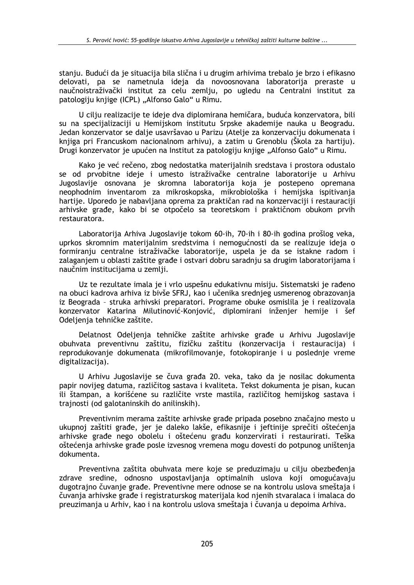stanju. Budući da je situacija bila slična i u drugim arhivima trebalo je brzo i efikasno delovati, pa se nametnula ideia da novoosnovana laboratoriia preraste u naučnoistraživački institut za celu zemlju, po ugledu na Centralni institut za patologiju knjige (ICPL) "Alfonso Galo" u Rimu.

U cilju realizacije te ideje dva diplomirana hemičara, buduća konzervatora, bili su na specijalizaciji u Hemijskom institutu Srpske akademije nauka u Beogradu. Jedan konzervator se dalje usavršavao u Parizu (Atelje za konzervaciju dokumenata i knjiga pri Francuskom nacionalnom arhivu), a zatim u Grenoblu (Škola za hartiju). Drugi konzervator je upućen na Institut za patologiju knjige "Alfonso Galo" u Rimu.

Kako je već rečeno, zbog nedostatka materijalnih sredstava i prostora odustalo se od prvobitne ideje i umesto istraživačke centralne laboratorije u Arhivu Jugoslavije osnovana je skromna laboratorija koja je postepeno opremana neophodnim inventarom za mikroskopska, mikrobiološka i hemijska ispitivanja hartije. Uporedo je nabavljana oprema za praktičan rad na konzervaciji i restauraciji arhivske građe, kako bi se otpočelo sa teoretskom i praktičnom obukom prvih restauratora.

Laboratorija Arhiva Jugoslavije tokom 60-ih, 70-ih i 80-ih godina prošlog veka, uprkos skromnim materijalnim sredstvima i nemogućnosti da se realizuje ideja o formiranju centralne istraživačke laboratorije, uspela je da se istakne radom i zalaganjem u oblasti zaštite građe i ostvari dobru saradnju sa drugim laboratorijama i naučnim institucijama u zemlji.

Uz te rezultate imala je i vrlo uspešnu edukativnu misiju. Sistematski je rađeno na obuci kadrova arhiva iz bivše SFRJ, kao i učenika srednjeg usmerenog obrazovanja iz Beograda - struka arhivski preparatori. Programe obuke osmislila je i realizovala konzervator Katarina Milutinović-Konjović, diplomirani inženjer hemije i šef Odeljenja tehničke zaštite.

Delatnost Odeljenja tehničke zaštite arhivske građe u Arhivu Jugoslavije obuhvata preventivnu zaštitu, fizičku zaštitu (konzervacija i restauracija) i reprodukovanje dokumenata (mikrofilmovanje, fotokopiranje i u poslednje vreme digitalizaciia).

U Arhivu Jugoslavije se čuva građa 20. veka, tako da je nosilac dokumenta papir novijeg datuma, različitog sastava i kvaliteta. Tekst dokumenta je pisan, kucan ili štampan, a korišćene su različite vrste mastila, različitog hemijskog sastava i trajnosti (od galotaninskih do anilinskih).

Preventivnim merama zaštite arhivske građe pripada posebno značajno mesto u ukupnoj zaštiti građe, jer je daleko lakše, efikasnije i jeftinije sprečiti oštećenja arhivske građe nego obolelu i oštećenu građu konzervirati i restaurirati. Teška oštećenja arhivske građe posle izvesnog vremena mogu dovesti do potpunog uništenja dokumenta.

Preventivna zaštita obuhvata mere koje se preduzimaju u cilju obezbeđenja zdrave sredine, odnosno uspostavljanja optimalnih uslova koji omogućavaju dugotrajno čuvanje građe. Preventivne mere odnose se na kontrolu uslova smeštaja i čuvanja arhivske građe i registraturskog materijala kod njenih stvaralaca i imalaca do preuzimanja u Arhiv, kao i na kontrolu uslova smeštaja i čuvanja u depoima Arhiva.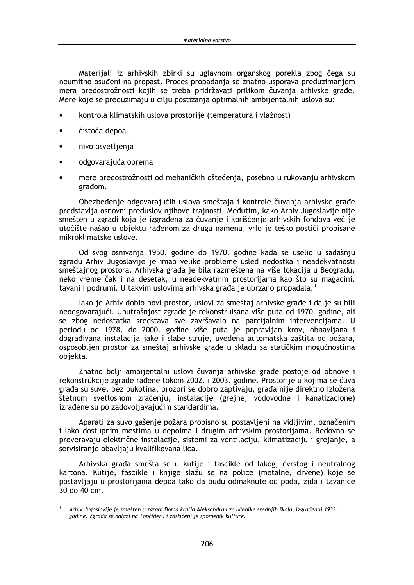Materijali iz arhivskih zbirki su uglavnom organskog porekla zbog čega su neumitno osuđeni na propast. Proces propadania se znatno usporava preduzimaniem mera predostrožnosti kojih se treba pridržavati prilikom čuvanja arhivske građe. Mere koje se preduzimaju u cilju postizanja optimalnih ambijentalnih uslova su:

- kontrola klimatskih uslova prostorije (temperatura i vlažnost)
- čistoća depoa
- nivo osvetljenja
- odgovarajuća oprema
- mere predostrožnosti od mehaničkih oštećenja, posebno u rukovanju arhivskom građom.

Obezbeđenje odgovarajućih uslova smeštaja i kontrole čuvanja arhivske građe predstavlja osnovni preduslov njihove trajnosti. Međutim, kako Arhiv Jugoslavije nije smešten u zgradi koja je izgrađena za čuvanje i korišćenje arhivskih fondova već je utočište našao u objektu rađenom za drugu namenu, vrlo je teško postići propisane mikroklimatske uslove.

Od svog osnivanja 1950. godine do 1970. godine kada se uselio u sadašnju zgradu Arhiv Jugoslavije je imao velike probleme usled nedostka i neadekvatnosti smeštajnog prostora. Arhivska građa je bila razmeštena na više lokacija u Beogradu, neko vreme čak i na desetak, u neadekvatnim prostorijama kao što su magacini, tavani i podrumi. U takvim uslovima arhivska građa je ubrzano propadala.<sup>3</sup>

lako je Arhiv dobio novi prostor, uslovi za smeštaj arhivske građe i dalje su bili neodgovarajući. Unutrašnjost zgrade je rekonstruisana više puta od 1970. godine, ali se zbog nedostatka sredstava sve završavalo na parcijalnim intervencijama. U periodu od 1978. do 2000. godine više puta je popravljan krov, obnavljana i dograđivana instalacija jake i slabe struje, uvedena automatska zaštita od požara, osposobljen prostor za smeštaj arhivske građe u skladu sa statičkim mogućnostima objekta.

Znatno bolji ambijentalni uslovi čuvanja arhivske građe postoje od obnove i rekonstrukcije zgrade rađene tokom 2002. i 2003. godine. Prostorije u kojima se čuva građa su suve, bez pukotina, prozori se dobro zaptivaju, građa nije direktno izložena štetnom svetlosnom zračenju, instalacije (grejne, vodovodne i kanalizacione) izrađene su po zadovoljavajućim standardima.

Aparati za suvo gašenie požara propisno su postavljeni na vidlijvim, označenim j lako dostupnim mestima u depojma i drugim arhivskim prostorijama. Redovno se proveravaju električne instalacije, sistemi za ventilaciju, klimatizaciju i grejanje, a servisiranie obavliaju kvalifikovana lica.

Arhivska građa smešta se u kutije i fascikle od lakog, čvrstog i neutralnog kartona. Kutije, fascikle i knjige slažu se na police (metalne, drvene) koje se postavljaju u prostorijama depoa tako da budu odmaknute od poda, zida i tavanice 30 do 40 cm.

Arhiv Jugoslavije je smešten u zgradi Doma kralja Aleksandra I za učenike srednjih škola, izgrađenoj 1933. godine. Zgrada se nalazi na Topčideru i zaštićeni je spomenik kulture.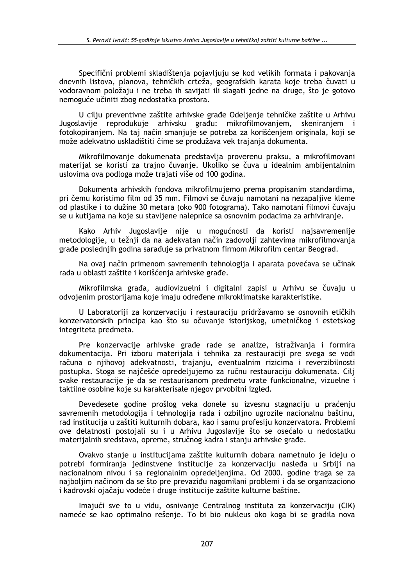Specifični problemi skladištenia pojavljuju se kod velikih formata i pakovanja dnevnih listova, planova, tehničkih crteža, geografskih karata koje treba čuvati u vodoravnom položaju i ne treba ih savijati ili slagati jedne na druge, što je gotovo nemoguće učiniti zbog nedostatka prostora.

U cilju preventivne zaštite arhivske građe Odeljenje tehničke zaštite u Arhivu Jugoslavije reprodukuje arhivsku građu: mikrofilmovanjem, skeniranjem i fotokopiranjem. Na taj način smanjuje se potreba za korišćenjem originala, koji se može adekvatno uskladištiti čime se produžava vek trajanja dokumenta.

Mikrofilmovanje dokumenata predstavlja proverenu praksu, a mikrofilmovani materijal se koristi za trajno čuvanje. Ukoliko se čuva u idealnim ambijentalnim uslovima ova podloga može trajati više od 100 godina.

Dokumenta arhivskih fondova mikrofilmujemo prema propisanim standardima, pri čemu koristimo film od 35 mm. Filmovi se čuvaju namotani na nezapaljive kleme od plastike i to dužine 30 metara (oko 900 fotograma). Tako namotani filmovi čuvaju se u kutijama na koje su stavljene nalepnice sa osnovnim podacima za arhiviranje.

Kako Arhiv Jugoslavije nije u mogućnosti da koristi najsavremenije metodologije, u težnij da na adekvatan način zadovolji zahtevima mikrofilmovanja građe poslednjih godina sarađuje sa privatnom firmom Mikrofilm centar Beograd.

Na ovaj način primenom savremenih tehnologija i aparata povećava se učinak rada u oblasti zaštite i korišćenja arhivske građe.

Mikrofilmska građa, audiovizuelni i digitalni zapisi u Arhivu se čuvaju u odvojenim prostorijama koje imaju određene mikroklimatske karakteristike.

U Laboratoriji za konzervaciju i restauraciju pridržavamo se osnovnih etičkih konzervatorskih principa kao što su očuvanje istorijskog, umetničkog i estetskog integriteta predmeta.

Pre konzervacije arhivske građe rade se analize, istraživanja i formira dokumentacija. Pri izboru materijala i tehnika za restauraciji pre svega se vodi računa o njihovoj adekvatnosti, trajanju, eventualnim rizicima i reverzibilnosti postupka. Stoga se najčešće opredeljujemo za ručnu restauraciju dokumenata. Cilj svake restauracije je da se restaurisanom predmetu vrate funkcionalne, vizuelne j taktilne osobine koje su karakterisale njegov prvobitni izgled.

Devedesete godine prošlog veka donele su izvesnu stagnaciju u praćenju savremenih metodologija i tehnologija rada i ozbiljno ugrozile nacionalnu baštinu, rad institucija u zaštiti kulturnih dobara, kao i samu profesiju konzervatora. Problemi ove delatnosti postojali su i u Arhivu Jugoslavije što se osećalo u nedostatku materijalnih sredstava, opreme, stručnog kadra i stanju arhivske građe.

Ovakvo stanje u institucijama zaštite kulturnih dobara nametnulo je ideju o potrebi formiranja jedinstvene institucije za konzervaciju nasleđa u Srbiji na nacionalnom nivou i sa regionalnim opredeljenjima. Od 2000. godine traga se za najboljim načinom da se što pre prevaziđu nagomilani problemi i da se organizaciono i kadrovski ojačaju vodeće i druge institucije zaštite kulturne baštine.

Imajući sve to u vidu, osnivanje Centralnog instituta za konzervaciju (CIK) nameće se kao optimalno rešenje. To bi bio nukleus oko koga bi se gradila nova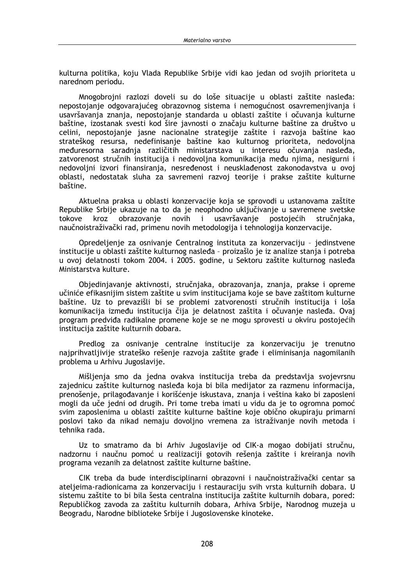kulturna politika, koju Vlada Republike Srbije vidi kao jedan od svojih prioriteta u narednom periodu.

Mnogobrojni razlozi doveli su do loše situacije u oblasti zaštite nasleđa: nepostojanie odgovarajućeg obrazovnog sistema i nemogućnost osavremenjivanja i usavršavania znania, nepostojanje standarda u oblasti zaštite i očuvanja kulturne baštine, izostanak svesti kod šire javnosti o značaju kulturne baštine za društvo u celini, nepostojanje jasne nacionalne strategije zaštite i razvoja baštine kao strateškog resursa, nedefinisanje baštine kao kulturnog prioriteta, nedovoljna međuresorna saradnja različitih ministarstava u interesu očuvanja nasleđa, zatvorenost stručnih institucija i nedovoljna komunikacija među njima, nesigurni i nedovoljni izvori finansiranja, nesređenost i neusklađenost zakonodavstva u ovoj oblasti, nedostatak sluha za savremeni razvoj teorije i prakse zaštite kulturne baštine.

Aktuelna praksa u oblasti konzervacije koja se sprovodi u ustanovama zaštite Republike Srbije ukazuje na to da je neophodno uključivanje u savremene svetske tokove kroz obrazovanie novih  $\mathbf{i}$ usavršavanje postojećih stručniaka. naučnoistraživački rad, primenu novih metodologija i tehnologija konzervacije.

Opredeljenje za osnivanje Centralnog instituta za konzervaciju - jedinstvene institucije u oblasti zaštite kulturnog nasleđa - proizašlo je iz analize stanja i potreba u ovoj delatnosti tokom 2004. i 2005. godine, u Sektoru zaštite kulturnog nasleđa Ministarstva kulture.

Objedinjavanje aktivnosti, stručnjaka, obrazovanja, znanja, prakse i opreme učiniće efikasnijim sistem zaštite u svim institucijama koje se bave zaštitom kulturne baštine. Uz to prevazišli bi se problemi zatvorenosti stručnih institucija i loša komunikacija između institucija čija je delatnost zaštita i očuvanje nasleđa. Ovaj program predviđa radikalne promene koje se ne mogu sprovesti u okviru postojećih institucija zaštite kulturnih dobara.

Predlog za osnivanje centralne institucije za konzervaciju je trenutno najprihvatljivije strateško rešenje razvoja zaštite građe i eliminisanja nagomilanih problema u Arhivu Jugoslavije.

Mišlienia smo da jedna ovakva institucija treba da predstavlja svojevrsnu zajednicu zaštite kulturnog nasleđa koja bi bila medijator za razmenu informacija, prenošenje, prilagođavanje i korišćenje iskustava, znanja i veština kako bi zaposleni mogli da uče jedni od drugih. Pri tome treba imati u vidu da je to ogromna pomoć svim zaposlenima u oblasti zaštite kulturne baštine koje obično okupiraju primarni poslovi tako da nikad nemaju dovoljno vremena za istraživanje novih metoda i tehnika rada.

Uz to smatramo da bi Arhiv Jugoslavije od CIK-a mogao dobijati stručnu, nadzornu i naučnu pomoć u realizaciji gotovih rešenja zaštite i kreiranja novih programa vezanih za delatnost zaštite kulturne baštine.

CIK treba da bude interdisciplinarni obrazovni i naučnoistraživački centar sa ateljeima-radionicama za konzervaciju i restauraciju svih vrsta kulturnih dobara. U sistemu zaštite to bi bila šesta centralna institucija zaštite kulturnih dobara, pored: Republičkog zavoda za zaštitu kulturnih dobara, Arhiva Srbije, Narodnog muzeja u Beogradu, Narodne biblioteke Srbije i Jugoslovenske kinoteke.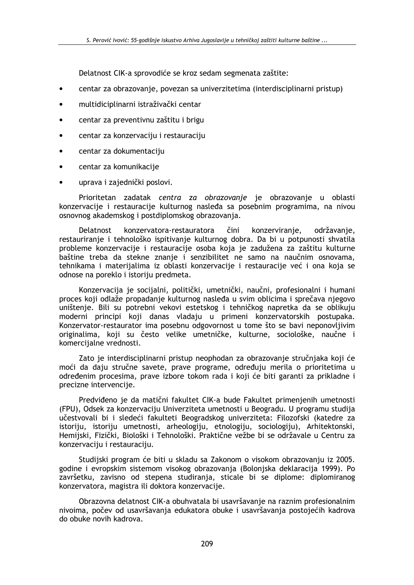Delatnost CIK-a sprovodiće se kroz sedam segmenata zaštite:

- centar za obrazovanie, povezan sa univerzitetima (interdisciplinarni pristup)
- multidiciplinarni istraživački centar
- centar za preventivnu zaštitu i brigu
- centar za konzervaciju i restauraciju
- centar za dokumentaciju
- centar za komunikacije
- uprava i zajednički poslovi.

Prioritetan zadatak centra za obrazovanje je obrazovanje u oblasti konzervacije i restauracije kulturnog nasleđa sa posebnim programima, na nivou osnovnog akademskog i postdiplomskog obrazovanja.

Delatnost konzervatora-restauratora čini konzerviranje, održavanje, restauriranje i tehnološko ispitivanje kulturnog dobra. Da bi u potpunosti shvatila probleme konzervacije i restauracije osoba koja je zadužena za zaštitu kulturne baštine treba da stekne znanje i senzibilitet ne samo na naučnim osnovama, tehnikama i materijalima iz oblasti konzervacije i restauracije već i ona koja se odnose na poreklo i istoriju predmeta.

Konzervacija je socijalni, politički, umetnički, naučni, profesionalni i humani proces koji odlaže propadanje kulturnog nasleđa u svim oblicima i sprečava njegovo uništenje. Bili su potrebni vekovi estetskog i tehničkog napretka da se oblikuju moderni principi koji danas vladaju u primeni konzervatorskih postupaka. Konzervator-restaurator ima posebnu odgovornost u tome što se bavi neponovljivim originalima, koji su često velike umetničke, kulturne, sociološke, naučne i komercijalne vrednosti.

Zato je interdisciplinarni pristup neophodan za obrazovanje stručnjaka koji će moći da daju stručne savete, prave programe, određuju merila o prioritetima u određenim procesima, prave izbore tokom rada i koji će biti garanti za prikladne i precizne intervencije.

Predviđeno je da matični fakultet CIK-a bude Fakultet primenjenih umetnosti (FPU), Odsek za konzervaciju Univerziteta umetnosti u Beogradu. U programu studija učestvovali bi i sledeći fakulteti Beogradskog univerziteta: Filozofski (katedre za istoriju, istoriju umetnosti, arheologiju, etnologiju, sociologiju), Arhitektonski, Hemijski, Fizički, Biološki i Tehnološki. Praktične vežbe bi se održavale u Centru za konzervaciju i restauraciju.

Studijski program će biti u skladu sa Zakonom o visokom obrazovanju iz 2005. godine i evropskim sistemom visokog obrazovanja (Bolonjska deklaracija 1999). Po završetku, zavisno od stepena studiranja, sticale bi se diplome: diplomiranog konzervatora, magistra ili doktora konzervacije.

Obrazovna delatnost CIK-a obuhvatala bi usavršavanie na raznim profesionalnim nivoima, počev od usavršavanja edukatora obuke i usavršavanja postojećih kadrova do obuke novih kadrova.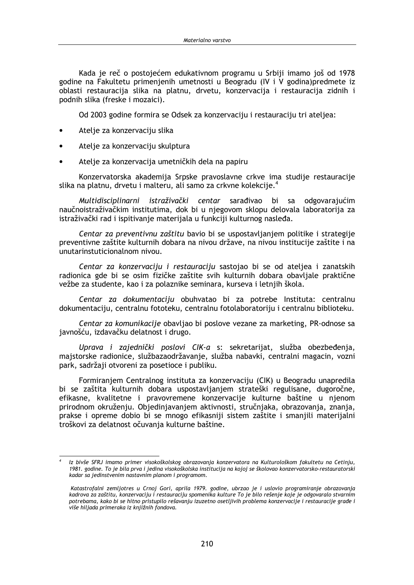Kada je reč o postojećem edukativnom programu u Srbiji imamo još od 1978 godine na Fakultetu primenienih umetnosti u Beogradu (IV i V godina) predmete iz oblasti restauracija slika na platnu, drvetu, konzervacija i restauracija zidnih i podnih slika (freske i mozaici).

Od 2003 godine formira se Odsek za konzervaciju i restauraciju tri ateljea:

- Atelie za konzervaciju slika
- Atelje za konzervaciju skulptura
- Atelje za konzervacija umetničkih dela na papiru

Konzervatorska akademija Srpske pravoslavne crkve ima studije restauracije slika na platnu, drvetu i malteru, ali samo za crkvne kolekcije.<sup>4</sup>

Multidisciplinarni istraživački centar sarađivao bi sa odgovarajućim naučnoistraživačkim institutima, dok bi u njegovom sklopu delovala laboratorija za istraživački rad i ispitivanje materijala u funkciji kulturnog nasleđa.

Centar za preventivnu zaštitu bavio bi se uspostavljanjem politike i strategije preventivne zaštite kulturnih dobara na nivou države, na nivou institucije zaštite i na unutarinstuticionalnom nivou.

Centar za konzervaciju i restauraciju sastojao bi se od ateljea i zanatskih radionica gde bi se osim fizičke zaštite svih kulturnih dobara obavljale praktične vežbe za studente, kao i za polaznike seminara, kurseva i letnjih škola.

Centar za dokumentaciju obuhvatao bi za potrebe Instituta: centralnu dokumentaciju, centralnu fototeku, centralnu fotolaboratoriju i centralnu biblioteku.

Centar za komunikacije obavljao bi poslove vezane za marketing, PR-odnose sa javnošću, izdavačku delatnost i drugo.

Uprava i zajednički poslovi CIK-a s: sekretarijat, služba obezbeđenja, majstorske radionice, službazaodržavanje, služba nabavki, centralni magacin, vozni park, sadržaji otvoreni za posetioce i publiku.

Formiraniem Centralnog instituta za konzervaciju (CIK) u Beogradu unapredila bi se zaštita kulturnih dobara uspostavljanjem strateški regulisane, dugoročne, efikasne, kvalitetne i pravovremene konzervacije kulturne baštine u njenom prirodnom okruženiu. Objediniavaniem aktivnosti, stručniaka, obrazovania, znania, prakse i opreme dobio bi se mnogo efikasniji sistem zaštite i smanjili materijalni troškovi za delatnost očuvania kulturne baštine.

Iz bivše SFRJ imamo primer visokoškolskog obrazovania konzervatora na Kulturološkom fakultetu na Cetiniu. 1981. godine. To je bila prva i jedina visokoškolska institucija na kojoj se školovao konzervatorsko-restauratorski kadar sa jedinstvenim nastavnim planom i programom.

Katastrofalni zemljotres u Crnoj Gori, aprila 1979. godine, ubrzao je i uslovio programiranje obrazovanja kadrova za zaštitu, konzervaciju i restauraciju spomenika kulture To je bilo rešenje koje je odgovaralo stvarnim potrebama, kako bi se hitno pristupilo rešavanju izuzetno osetljivih problema konzervacije i restauracije građe i .<br>više hiljada primeraka iz knjižnih fondova.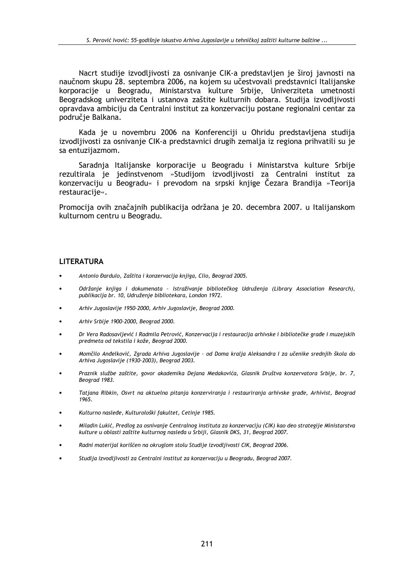Nacrt studije izvodljivosti za osnivanje CIK-a predstavljen je široj javnosti na naučnom skupu 28. septembra 2006. na kojem su učestvovali predstavnici Italijanske korporacije u Beogradu, Ministarstva kulture Srbije, Univerziteta umetnosti Beogradskog univerziteta i ustanova zaštite kulturnih dobara. Studija izvodljivosti opravdava ambiciju da Centralni institut za konzervaciju postane regionalni centar za područje Balkana.

Kada je u novembru 2006 na Konferenciji u Ohridu predstavljena studija izvodljivosti za osnivanje CIK-a predstavnici drugih zemalja iz regiona prihvatili su je sa entuzijazmom.

Saradnja Italijanske korporacije u Beogradu i Ministarstva kulture Srbije rezultirala je jedinstvenom »Studijom izvodljivosti za Centralni institut za konzervaciju u Beogradu« i prevodom na srpski knjige Čezara Brandija »Teorija restauracije«.

Promocija ovih značajnih publikacija održana je 20. decembra 2007. u Italijanskom kulturnom centru u Beogradu.

### **LITERATURA**

- Antonio Đardulo, Zaštita i konzervacija knjiga, Clio, Beograd 2005.
- Održanje knjiga i dokumenata Istraživanje bibliotečkog Udruženja (Library Association Research), publikacija br. 10, Udruženje bibliotekara, London 1972.
- Arhiv Jugoslavije 1950-2000, Arhiv Jugoslavije, Beograd 2000.
- Arhiv Srbije 1900-2000, Beograd 2000.
- Dr Vera Radosavljević i Radmila Petrović, Konzervacija i restauracija arhivske i bibliotečke građe i muzejskih predmeta od tekstila i kože. Beograd 2000.
- Momčilo Anđelković, Zgrada Arhiva Jugoslavije od Doma kralja Aleksandra I za učenike srednjih škola do Arhiva Jugoslavije (1930-2003), Beograd 2003.
- Praznik službe zaštite, govor akademika Dejana Medakovića, Glasnik Društva konzervatora Srbije, br. 7, Beograd 1983.
- Tatjana Ribkin, Osvrt na aktuelna pitanja konzerviranja i restauriranja arhivske građe, Arhivist, Beograd 1965.
- Kulturno nasleđe, Kulturološki fakultet, Cetinje 1985.
- Miladin Lukić, Predlog za osnivanje Centralnog instituta za konzervaciju (CIK) kao deo strategije Ministarstva kulture u oblasti zaštite kulturnog nasleđa u Srbiji, Glasnik DKS, 31, Beograd 2007.
- Radni materijal korišćen na okruglom stolu Studije izvodljivosti CIK, Beograd 2006.
- Studija izvodljivosti za Centralni institut za konzervaciju u Beogradu, Beograd 2007.